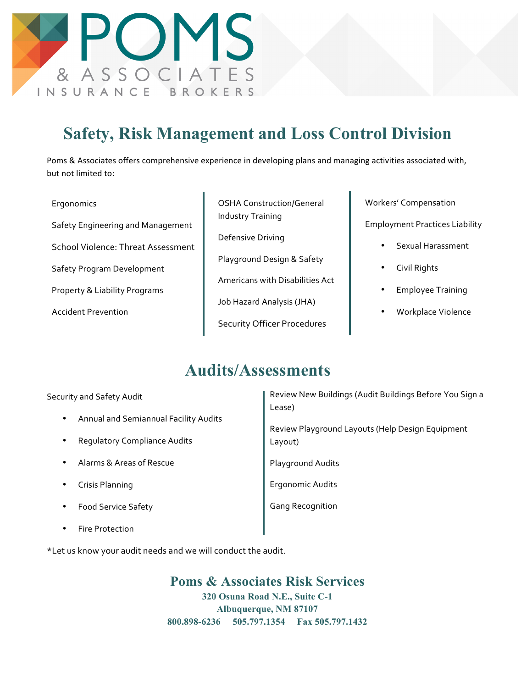

## **Safety, Risk Management and Loss Control Division**

Poms & Associates offers comprehensive experience in developing plans and managing activities associated with, but not limited to:

- Ergonomics Safety Engineering and Management School Violence: Threat Assessment Safety Program Development Property & Liability Programs Accident Prevention
- OSHA Construction/General Industry Training Defensive Driving Playground Design & Safety Americans with Disabilities Act Job Hazard Analysis (JHA) Security Officer Procedures

Workers' Compensation

Employment Practices Liability

- Sexual Harassment
- Civil Rights
- Employee Training
- Workplace Violence

## **Audits/Assessments**

Security and Safety Audit

- Annual and Semiannual Facility Audits
- Regulatory Compliance Audits
- Alarms & Areas of Rescue
- Crisis Planning
- Food Service Safety
- **Fire Protection**

Review New Buildings (Audit Buildings Before You Sign a Lease)

Review Playground Layouts (Help Design Equipment Layout)

Playground Audits

Ergonomic Audits

**Gang Recognition** 

\*Let us know your audit needs and we will conduct the audit.

**Poms & Associates Risk Services 320 Osuna Road N.E., Suite C-1 Albuquerque, NM 87107 800.898-6236 505.797.1354 Fax 505.797.1432**